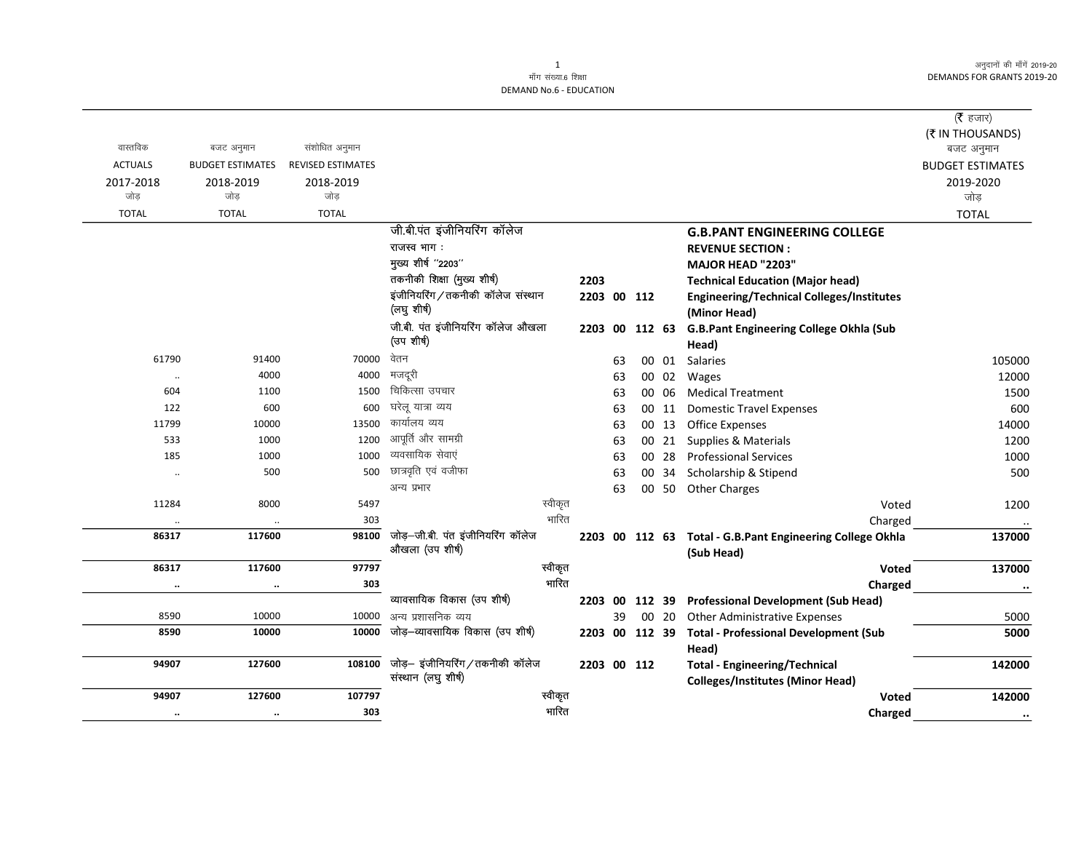अनुदानों की माँगें 2019-20 DEMANDS FOR GRANTS 2019-20

|                |                         |                          |                                   |         |                |    |        |       |                                                           | (रै हजार)               |
|----------------|-------------------------|--------------------------|-----------------------------------|---------|----------------|----|--------|-------|-----------------------------------------------------------|-------------------------|
|                |                         |                          |                                   |         |                |    |        |       |                                                           | (₹ IN THOUSANDS)        |
| वास्तविक       | बजट अनुमान              | संशोधित अनुमान           |                                   |         |                |    |        |       |                                                           | बजट अनुमान              |
| <b>ACTUALS</b> | <b>BUDGET ESTIMATES</b> | <b>REVISED ESTIMATES</b> |                                   |         |                |    |        |       |                                                           | <b>BUDGET ESTIMATES</b> |
| 2017-2018      | 2018-2019               | 2018-2019                |                                   |         |                |    |        |       |                                                           | 2019-2020               |
| जोड            | जोड                     | जोड                      |                                   |         |                |    |        |       |                                                           | जोड़                    |
| <b>TOTAL</b>   | <b>TOTAL</b>            | <b>TOTAL</b>             |                                   |         |                |    |        |       |                                                           | <b>TOTAL</b>            |
|                |                         |                          | जी.बी.पंत इंजीनियरिंग कॉलेज       |         |                |    |        |       | <b>G.B.PANT ENGINEERING COLLEGE</b>                       |                         |
|                |                         |                          | राजस्व भाग:                       |         |                |    |        |       | <b>REVENUE SECTION:</b>                                   |                         |
|                |                         |                          | मुख्य शीर्ष "2203"                |         |                |    |        |       | <b>MAJOR HEAD "2203"</b>                                  |                         |
|                |                         |                          | तकनीकी शिक्षा (मुख्य शीर्ष)       |         | 2203           |    |        |       | <b>Technical Education (Major head)</b>                   |                         |
|                |                         |                          | इंजीनियरिंग/तकनीकी कॉलेज संस्थान  |         | 2203 00 112    |    |        |       | <b>Engineering/Technical Colleges/Institutes</b>          |                         |
|                |                         |                          | (लघु शीर्ष)                       |         |                |    |        |       | (Minor Head)                                              |                         |
|                |                         |                          | जी.बी. पंत इंजीनियरिंग कॉलेज औखला |         | 2203 00        |    | 112 63 |       | G.B.Pant Engineering College Okhla (Sub                   |                         |
|                |                         |                          | (उप शीर्ष)                        |         |                |    |        |       | Head)                                                     |                         |
| 61790          | 91400                   | 70000                    | वेतन                              |         |                | 63 |        | 00 01 | Salaries                                                  | 105000                  |
| $\cdot\cdot$   | 4000                    | 4000                     | मजदूरी                            |         |                | 63 |        | 00 02 | Wages                                                     | 12000                   |
| 604            | 1100                    | 1500                     | चिकित्सा उपचार                    |         |                | 63 |        | 00 06 | <b>Medical Treatment</b>                                  | 1500                    |
| 122            | 600                     | 600                      | घरेलू यात्रा व्यय                 |         |                | 63 |        | 00 11 | <b>Domestic Travel Expenses</b>                           | 600                     |
| 11799          | 10000                   | 13500                    | कार्यालय व्यय                     |         |                | 63 |        | 00 13 | <b>Office Expenses</b>                                    | 14000                   |
| 533            | 1000                    | 1200                     | आपूर्ति और सामग्री                |         |                | 63 |        |       | 00 21 Supplies & Materials                                | 1200                    |
| 185            | 1000                    | 1000                     | व्यवसायिक सेवाएं                  |         |                | 63 |        | 00 28 | <b>Professional Services</b>                              | 1000                    |
| $\ddotsc$      | 500                     | 500                      | छात्रवृति एवं वजीफा               |         |                | 63 |        |       | 00 34 Scholarship & Stipend                               | 500                     |
|                |                         |                          | अन्य प्रभार                       |         |                | 63 |        |       | 00 50 Other Charges                                       |                         |
| 11284          | 8000                    | 5497                     |                                   | स्वीकृत |                |    |        |       | Voted                                                     | 1200                    |
| $\cdot\cdot$   |                         | 303                      |                                   | भारित   |                |    |        |       | Charged                                                   |                         |
| 86317          | 117600                  | 98100                    | जोड़—जी.बी. पंत इंजीनियरिंग कॉलेज |         |                |    |        |       | 2203 00 112 63 Total - G.B.Pant Engineering College Okhla | 137000                  |
|                |                         |                          | औखला (उप शीर्ष)                   |         |                |    |        |       | (Sub Head)                                                |                         |
| 86317          | 117600                  | 97797                    |                                   | स्वीकृत |                |    |        |       | Voted                                                     | 137000                  |
| $\ldots$       | $\ddotsc$               | 303                      |                                   | भारित   |                |    |        |       | Charged                                                   | $\ddotsc$               |
|                |                         |                          | व्यावसायिक विकास (उप शीर्ष)       |         | 2203 00        |    | 112 39 |       | <b>Professional Development (Sub Head)</b>                |                         |
| 8590           | 10000                   | 10000                    | अन्य प्रशासनिक व्यय               |         |                | 39 |        | 00 20 | <b>Other Administrative Expenses</b>                      | 5000                    |
| 8590           | 10000                   | 10000                    | जोड़–व्यावसायिक विकास (उप शीर्ष)  |         | 2203 00 112 39 |    |        |       | <b>Total - Professional Development (Sub</b>              | 5000                    |
|                |                         |                          |                                   |         |                |    |        |       | Head)                                                     |                         |
| 94907          | 127600                  | 108100                   | जोड़- इंजीनियरिंग/तकनीकी कॉलेज    |         | 2203 00 112    |    |        |       | <b>Total - Engineering/Technical</b>                      | 142000                  |
|                |                         |                          | संस्थान (लघु शीर्ष)               |         |                |    |        |       | <b>Colleges/Institutes (Minor Head)</b>                   |                         |
| 94907          | 127600                  | 107797                   |                                   | स्वीकृत |                |    |        |       | Voted                                                     | 142000                  |
| $\cdots$       | $\cdot\cdot$            | 303                      |                                   | भारित   |                |    |        |       | Charged                                                   | $\cdot\cdot$            |
|                |                         |                          |                                   |         |                |    |        |       |                                                           |                         |